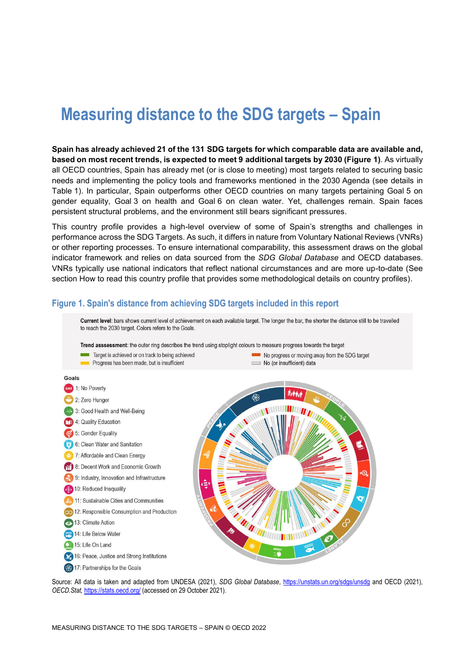# **Measuring distance to the SDG targets – Spain**

**Spain has already achieved 21 of the 131 SDG targets for which comparable data are available and, based on most recent trends, is expected to meet 9 additional targets by 2030 [\(Figure](#page-0-0) 1)**. As virtually all OECD countries, Spain has already met (or is close to meeting) most targets related to securing basic needs and implementing the policy tools and frameworks mentioned in the 2030 Agenda (see details in [Table](#page-3-0) 1). In particular, Spain outperforms other OECD countries on many targets pertaining Goal 5 on gender equality, Goal 3 on health and Goal 6 on clean water. Yet, challenges remain. Spain faces persistent structural problems, and the environment still bears significant pressures.

This country profile provides a high-level overview of some of Spain's strengths and challenges in performance across the SDG Targets. As such, it differs in nature from Voluntary National Reviews (VNRs) or other reporting processes. To ensure international comparability, this assessment draws on the global indicator framework and relies on data sourced from the *SDG Global Database* and OECD databases. VNRs typically use national indicators that reflect national circumstances and are more up-to-date (See section [How to read this](#page-8-0) country profile that provides some methodological details on country profiles).

#### <span id="page-0-0"></span>**Figure 1. Spain's distance from achieving SDG targets included in this report**



Source: All data is taken and adapted from UNDESA (2021), *SDG Global Database*,<https://unstats.un.org/sdgs/unsdg> and OECD (2021), *OECD.Stat,* <https://stats.oecd.org/> (accessed on 29 October 2021).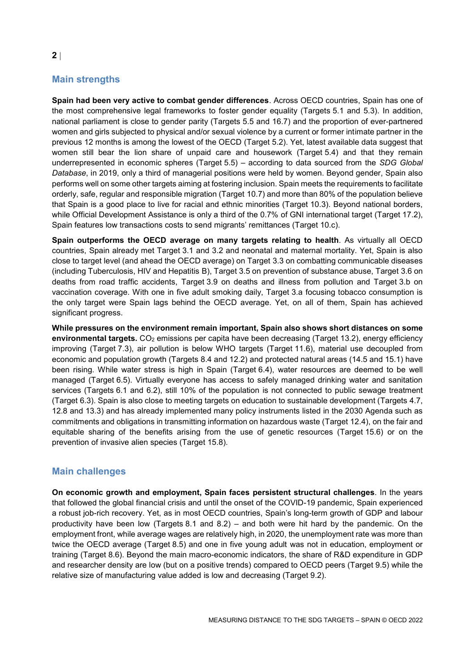# **Main strengths**

**Spain had been very active to combat gender differences**. Across OECD countries, Spain has one of the most comprehensive legal frameworks to foster gender equality (Targets 5.1 and 5.3). In addition, national parliament is close to gender parity (Targets 5.5 and 16.7) and the proportion of ever-partnered women and girls subjected to physical and/or sexual violence by a current or former intimate partner in the previous 12 months is among the lowest of the OECD (Target 5.2). Yet, latest available data suggest that women still bear the lion share of unpaid care and housework (Target 5.4) and that they remain underrepresented in economic spheres (Target 5.5) – according to data sourced from the *SDG Global Database*, in 2019, only a third of managerial positions were held by women. Beyond gender, Spain also performs well on some other targets aiming at fostering inclusion. Spain meets the requirements to facilitate orderly, safe, regular and responsible migration (Target 10.7) and more than 80% of the population believe that Spain is a good place to live for racial and ethnic minorities (Target 10.3). Beyond national borders, while Official Development Assistance is only a third of the 0.7% of GNI international target (Target 17.2), Spain features low transactions costs to send migrants' remittances (Target 10.c).

**Spain outperforms the OECD average on many targets relating to health**. As virtually all OECD countries, Spain already met Target 3.1 and 3.2 and neonatal and maternal mortality. Yet, Spain is also close to target level (and ahead the OECD average) on Target 3.3 on combatting communicable diseases (including Tuberculosis, HIV and Hepatitis B), Target 3.5 on prevention of substance abuse, Target 3.6 on deaths from road traffic accidents, Target 3.9 on deaths and illness from pollution and Target 3.b on vaccination coverage. With one in five adult smoking daily, Target 3.a focusing tobacco consumption is the only target were Spain lags behind the OECD average. Yet, on all of them, Spain has achieved significant progress.

**While pressures on the environment remain important, Spain also shows short distances on some**  environmental targets. CO<sub>2</sub> emissions per capita have been decreasing (Target 13.2), energy efficiency improving (Target 7.3), air pollution is below WHO targets (Target 11.6), material use decoupled from economic and population growth (Targets 8.4 and 12.2) and protected natural areas (14.5 and 15.1) have been rising. While water stress is high in Spain (Target 6.4), water resources are deemed to be well managed (Target 6.5). Virtually everyone has access to safely managed drinking water and sanitation services (Targets 6.1 and 6.2), still 10% of the population is not connected to public sewage treatment (Target 6.3). Spain is also close to meeting targets on education to sustainable development (Targets 4.7, 12.8 and 13.3) and has already implemented many policy instruments listed in the 2030 Agenda such as commitments and obligations in transmitting information on hazardous waste (Target 12.4), on the fair and equitable sharing of the benefits arising from the use of genetic resources (Target 15.6) or on the prevention of invasive alien species (Target 15.8).

## **Main challenges**

**On economic growth and employment, Spain faces persistent structural challenges**. In the years that followed the global financial crisis and until the onset of the COVID-19 pandemic, Spain experienced a robust job-rich recovery. Yet, as in most OECD countries, Spain's long-term growth of GDP and labour productivity have been low (Targets 8.1 and 8.2) – and both were hit hard by the pandemic. On the employment front, while average wages are relatively high, in 2020, the unemployment rate was more than twice the OECD average (Target 8.5) and one in five young adult was not in education, employment or training (Target 8.6). Beyond the main macro-economic indicators, the share of R&D expenditure in GDP and researcher density are low (but on a positive trends) compared to OECD peers (Target 9.5) while the relative size of manufacturing value added is low and decreasing (Target 9.2).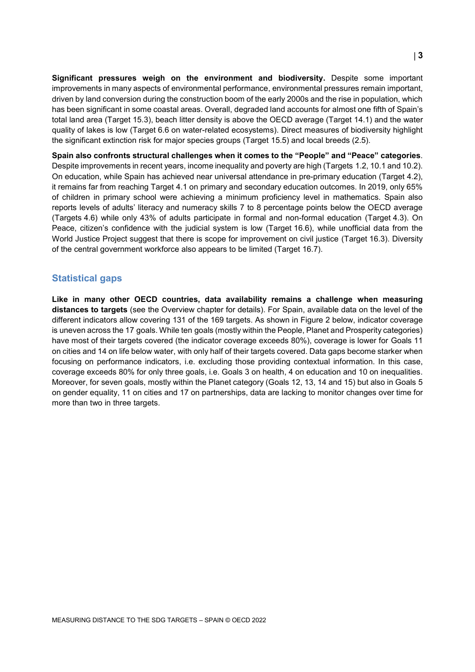**Significant pressures weigh on the environment and biodiversity.** Despite some important improvements in many aspects of environmental performance, environmental pressures remain important, driven by land conversion during the construction boom of the early 2000s and the rise in population, which has been significant in some coastal areas. Overall, degraded land accounts for almost one fifth of Spain's total land area (Target 15.3), beach litter density is above the OECD average (Target 14.1) and the water quality of lakes is low (Target 6.6 on water-related ecosystems). Direct measures of biodiversity highlight the significant extinction risk for major species groups (Target 15.5) and local breeds (2.5).

**Spain also confronts structural challenges when it comes to the "People" and "Peace" categories**. Despite improvements in recent years, income inequality and poverty are high (Targets 1.2, 10.1 and 10.2). On education, while Spain has achieved near universal attendance in pre-primary education (Target 4.2), it remains far from reaching Target 4.1 on primary and secondary education outcomes. In 2019, only 65% of children in primary school were achieving a minimum proficiency level in mathematics. Spain also reports levels of adults' literacy and numeracy skills 7 to 8 percentage points below the OECD average (Targets 4.6) while only 43% of adults participate in formal and non-formal education (Target 4.3). On Peace, citizen's confidence with the judicial system is low (Target 16.6), while unofficial data from the World Justice Project suggest that there is scope for improvement on civil justice (Target 16.3). Diversity of the central government workforce also appears to be limited (Target 16.7).

## **Statistical gaps**

**Like in many other OECD countries, data availability remains a challenge when measuring distances to targets** (see the Overview chapter for details). For Spain, available data on the level of the different indicators allow covering 131 of the 169 targets. As shown in [Figure](#page-3-1) 2 below, indicator coverage is uneven across the 17 goals. While ten goals (mostly within the People, Planet and Prosperity categories) have most of their targets covered (the indicator coverage exceeds 80%), coverage is lower for Goals 11 on cities and 14 on life below water, with only half of their targets covered. Data gaps become starker when focusing on performance indicators, i.e. excluding those providing contextual information. In this case, coverage exceeds 80% for only three goals, i.e. Goals 3 on health, 4 on education and 10 on inequalities. Moreover, for seven goals, mostly within the Planet category (Goals 12, 13, 14 and 15) but also in Goals 5 on gender equality, 11 on cities and 17 on partnerships, data are lacking to monitor changes over time for more than two in three targets.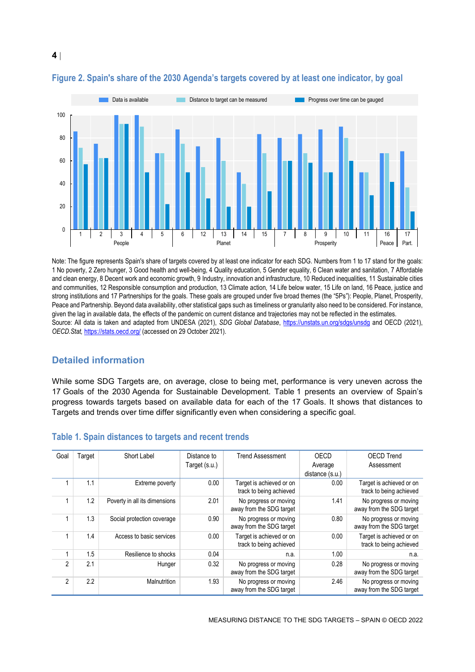

## <span id="page-3-1"></span>**Figure 2. Spain's share of the 2030 Agenda's targets covered by at least one indicator, by goal**

Note: The figure represents Spain's share of targets covered by at least one indicator for each SDG. Numbers from 1 to 17 stand for the goals: 1 No poverty, 2 Zero hunger, 3 Good health and well-being, 4 Quality education, 5 Gender equality, 6 Clean water and sanitation, 7 Affordable and clean energy, 8 Decent work and economic growth, 9 Industry, innovation and infrastructure, 10 Reduced inequalities, 11 Sustainable cities and communities, 12 Responsible consumption and production, 13 Climate action, 14 Life below water, 15 Life on land, 16 Peace, justice and strong institutions and 17 Partnerships for the goals. These goals are grouped under five broad themes (the "5Ps"): People, Planet, Prosperity, Peace and Partnership. Beyond data availability, other statistical gaps such as timeliness or granularity also need to be considered. For instance, given the lag in available data, the effects of the pandemic on current distance and trajectories may not be reflected in the estimates. Source: All data is taken and adapted from UNDESA (2021), *SDG Global Database*,<https://unstats.un.org/sdgs/unsdg> and OECD (2021), *OECD.Stat,* <https://stats.oecd.org/> (accessed on 29 October 2021).

## **Detailed information**

While some SDG Targets are, on average, close to being met, performance is very uneven across the 17 Goals of the 2030 Agenda for Sustainable Development. [Table](#page-3-0) 1 presents an overview of Spain's progress towards targets based on available data for each of the 17 Goals. It shows that distances to Targets and trends over time differ significantly even when considering a specific goal.

| Goal           | Target | Short Label                   | Distance to   | <b>Trend Assessment</b>                             | OECD            | <b>OECD Trend</b>                                   |
|----------------|--------|-------------------------------|---------------|-----------------------------------------------------|-----------------|-----------------------------------------------------|
|                |        |                               | Target (s.u.) |                                                     | Average         | Assessment                                          |
|                |        |                               |               |                                                     | distance (s.u.) |                                                     |
|                | 1.1    | Extreme poverty               | 0.00          | Target is achieved or on<br>track to being achieved | 0.00            | Target is achieved or on<br>track to being achieved |
|                | 1.2    | Poverty in all its dimensions | 2.01          | No progress or moving<br>away from the SDG target   | 1.41            | No progress or moving<br>away from the SDG target   |
|                | 1.3    | Social protection coverage    | 0.90          | No progress or moving<br>away from the SDG target   | 0.80            | No progress or moving<br>away from the SDG target   |
|                | 1.4    | Access to basic services      | 0.00          | Target is achieved or on<br>track to being achieved | 0.00            | Target is achieved or on<br>track to being achieved |
|                | 1.5    | Resilience to shocks          | 0.04          | n.a.                                                | 1.00            | n.a.                                                |
| $\mathfrak{p}$ | 2.1    | Hunger                        | 0.32          | No progress or moving<br>away from the SDG target   | 0.28            | No progress or moving<br>away from the SDG target   |
| $\mathfrak{p}$ | 2.2    | Malnutrition                  | 1.93          | No progress or moving<br>away from the SDG target   | 2.46            | No progress or moving<br>away from the SDG target   |

#### <span id="page-3-0"></span>**Table 1. Spain distances to targets and recent trends**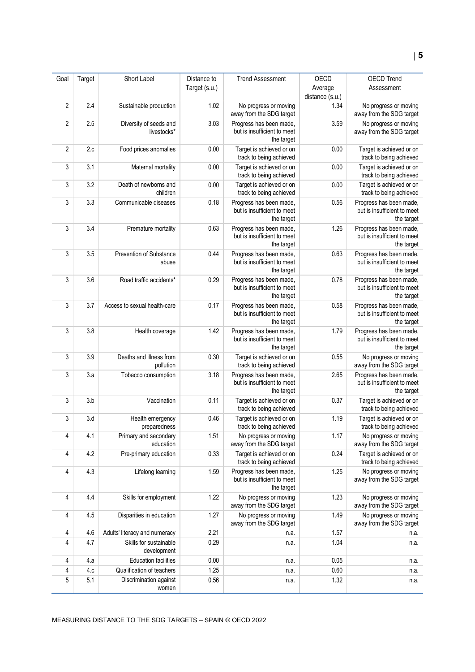| Goal           | Target | Short Label                           | Distance to   | <b>Trend Assessment</b>                                              | OECD            | <b>OECD Trend</b>                                                    |
|----------------|--------|---------------------------------------|---------------|----------------------------------------------------------------------|-----------------|----------------------------------------------------------------------|
|                |        |                                       | Target (s.u.) |                                                                      | Average         | Assessment                                                           |
|                |        |                                       |               |                                                                      | distance (s.u.) |                                                                      |
| $\overline{2}$ | 2.4    | Sustainable production                | 1.02          | No progress or moving<br>away from the SDG target                    | 1.34            | No progress or moving<br>away from the SDG target                    |
| $\overline{2}$ | 2.5    | Diversity of seeds and<br>livestocks* | 3.03          | Progress has been made,<br>but is insufficient to meet<br>the target | 3.59            | No progress or moving<br>away from the SDG target                    |
| 2              | 2.c    | Food prices anomalies                 | 0.00          | Target is achieved or on<br>track to being achieved                  | 0.00            | Target is achieved or on<br>track to being achieved                  |
| 3              | 3.1    | Maternal mortality                    | 0.00          | Target is achieved or on<br>track to being achieved                  | 0.00            | Target is achieved or on<br>track to being achieved                  |
| 3              | 3.2    | Death of newborns and<br>children     | 0.00          | Target is achieved or on<br>track to being achieved                  | 0.00            | Target is achieved or on<br>track to being achieved                  |
| 3              | 3.3    | Communicable diseases                 | 0.18          | Progress has been made,<br>but is insufficient to meet<br>the target | 0.56            | Progress has been made,<br>but is insufficient to meet<br>the target |
| 3              | 3.4    | Premature mortality                   | 0.63          | Progress has been made,<br>but is insufficient to meet<br>the target | 1.26            | Progress has been made,<br>but is insufficient to meet<br>the target |
| 3              | 3.5    | Prevention of Substance<br>abuse      | 0.44          | Progress has been made,<br>but is insufficient to meet<br>the target | 0.63            | Progress has been made,<br>but is insufficient to meet<br>the target |
| 3              | 3.6    | Road traffic accidents*               | 0.29          | Progress has been made,<br>but is insufficient to meet<br>the target | 0.78            | Progress has been made,<br>but is insufficient to meet<br>the target |
| 3              | 3.7    | Access to sexual health-care          | 0.17          | Progress has been made,<br>but is insufficient to meet<br>the target | 0.58            | Progress has been made,<br>but is insufficient to meet<br>the target |
| 3              | 3.8    | Health coverage                       | 1.42          | Progress has been made,<br>but is insufficient to meet<br>the target | 1.79            | Progress has been made,<br>but is insufficient to meet<br>the target |
| 3              | 3.9    | Deaths and illness from<br>pollution  | 0.30          | Target is achieved or on<br>track to being achieved                  | 0.55            | No progress or moving<br>away from the SDG target                    |
| 3              | 3.a    | Tobacco consumption                   | 3.18          | Progress has been made,<br>but is insufficient to meet<br>the target | 2.65            | Progress has been made,<br>but is insufficient to meet<br>the target |
| 3              | 3.b    | Vaccination                           | 0.11          | Target is achieved or on<br>track to being achieved                  | 0.37            | Target is achieved or on<br>track to being achieved                  |
| 3              | 3.d    | Health emergency<br>preparedness      | 0.46          | Target is achieved or on<br>track to being achieved                  | 1.19            | Target is achieved or on<br>track to being achieved                  |
| 4              | 4.1    | Primary and secondary<br>education    | 1.51          | No progress or moving<br>away from the SDG target                    | 1.17            | No progress or moving<br>away from the SDG target                    |
| 4              | 4.2    | Pre-primary education                 | 0.33          | Target is achieved or on<br>track to being achieved                  | 0.24            | Target is achieved or on<br>track to being achieved                  |
| 4              | 4.3    | Lifelong learning                     | 1.59          | Progress has been made,<br>but is insufficient to meet<br>the target | 1.25            | No progress or moving<br>away from the SDG target                    |
| 4              | 4.4    | Skills for employment                 | 1.22          | No progress or moving<br>away from the SDG target                    | 1.23            | No progress or moving<br>away from the SDG target                    |
| 4              | 4.5    | Disparities in education              | 1.27          | No progress or moving<br>away from the SDG target                    | 1.49            | No progress or moving<br>away from the SDG target                    |
| 4              | 4.6    | Adults' literacy and numeracy         | 2.21          | n.a.                                                                 | 1.57            | n.a.                                                                 |
| 4              | 4.7    | Skills for sustainable<br>development | 0.29          | n.a.                                                                 | 1.04            | n.a.                                                                 |
| 4              | 4.a    | <b>Education facilities</b>           | 0.00          | n.a.                                                                 | 0.05            | n.a.                                                                 |
| 4              | 4.c    | Qualification of teachers             | 1.25          | n.a.                                                                 | 0.60            | n.a.                                                                 |
| 5              | 5.1    | Discrimination against<br>women       | 0.56          | n.a.                                                                 | 1.32            | n.a.                                                                 |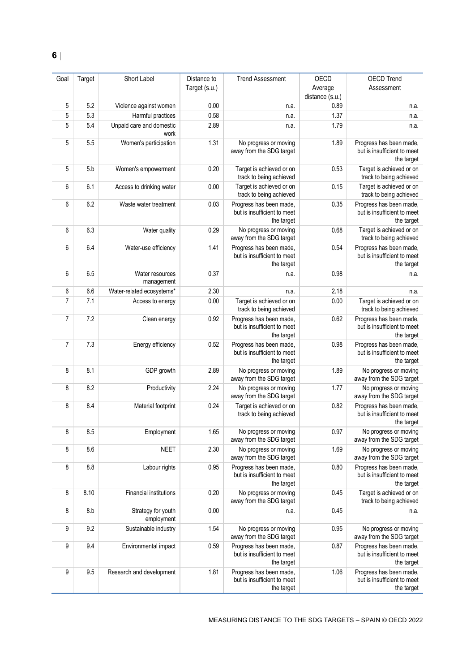| Goal           | Target | Short Label                      | Distance to   | <b>Trend Assessment</b>                                              | OECD                       | <b>OECD Trend</b>                                                    |
|----------------|--------|----------------------------------|---------------|----------------------------------------------------------------------|----------------------------|----------------------------------------------------------------------|
|                |        |                                  | Target (s.u.) |                                                                      | Average<br>distance (s.u.) | Assessment                                                           |
| 5              | 5.2    | Violence against women           | 0.00          | n.a.                                                                 | 0.89                       | n.a.                                                                 |
| 5              | 5.3    | Harmful practices                | 0.58          | n.a.                                                                 | 1.37                       | n.a.                                                                 |
| 5              | 5.4    | Unpaid care and domestic<br>work | 2.89          | n.a.                                                                 | 1.79                       | n.a.                                                                 |
| 5              | 5.5    | Women's participation            | 1.31          | No progress or moving<br>away from the SDG target                    | 1.89                       | Progress has been made,<br>but is insufficient to meet<br>the target |
| 5              | 5.b    | Women's empowerment              | 0.20          | Target is achieved or on<br>track to being achieved                  | 0.53                       | Target is achieved or on<br>track to being achieved                  |
| 6              | 6.1    | Access to drinking water         | 0.00          | Target is achieved or on<br>track to being achieved                  | 0.15                       | Target is achieved or on<br>track to being achieved                  |
| 6              | 6.2    | Waste water treatment            | 0.03          | Progress has been made,<br>but is insufficient to meet<br>the target | 0.35                       | Progress has been made,<br>but is insufficient to meet<br>the target |
| 6              | 6.3    | Water quality                    | 0.29          | No progress or moving<br>away from the SDG target                    | 0.68                       | Target is achieved or on<br>track to being achieved                  |
| 6              | 6.4    | Water-use efficiency             | 1.41          | Progress has been made,<br>but is insufficient to meet<br>the target | 0.54                       | Progress has been made,<br>but is insufficient to meet<br>the target |
| 6              | 6.5    | Water resources<br>management    | 0.37          | n.a.                                                                 | 0.98                       | n.a.                                                                 |
| 6              | 6.6    | Water-related ecosystems*        | 2.30          | n.a.                                                                 | 2.18                       | n.a.                                                                 |
| $\overline{7}$ | 7.1    | Access to energy                 | 0.00          | Target is achieved or on<br>track to being achieved                  | 0.00                       | Target is achieved or on<br>track to being achieved                  |
| $\overline{7}$ | 7.2    | Clean energy                     | 0.92          | Progress has been made,<br>but is insufficient to meet<br>the target | 0.62                       | Progress has been made,<br>but is insufficient to meet<br>the target |
| $\overline{7}$ | 7.3    | Energy efficiency                | 0.52          | Progress has been made,<br>but is insufficient to meet<br>the target | 0.98                       | Progress has been made,<br>but is insufficient to meet<br>the target |
| 8              | 8.1    | GDP growth                       | 2.89          | No progress or moving<br>away from the SDG target                    | 1.89                       | No progress or moving<br>away from the SDG target                    |
| 8              | 8.2    | Productivity                     | 2.24          | No progress or moving<br>away from the SDG target                    | 1.77                       | No progress or moving<br>away from the SDG target                    |
| 8              | 8.4    | Material footprint               | 0.24          | Target is achieved or on<br>track to being achieved                  | 0.82                       | Progress has been made,<br>but is insufficient to meet<br>the target |
| 8              | 8.5    | Employment                       | 1.65          | No progress or moving<br>away from the SDG target                    | 0.97                       | No progress or moving<br>away from the SDG target                    |
| 8              | 8.6    | <b>NEET</b>                      | 2.30          | No progress or moving<br>away from the SDG target                    | 1.69                       | No progress or moving<br>away from the SDG target                    |
| 8              | 8.8    | Labour rights                    | 0.95          | Progress has been made,<br>but is insufficient to meet<br>the target | 0.80                       | Progress has been made,<br>but is insufficient to meet<br>the target |
| 8              | 8.10   | Financial institutions           | 0.20          | No progress or moving<br>away from the SDG target                    | 0.45                       | Target is achieved or on<br>track to being achieved                  |
| 8              | 8.b    | Strategy for youth<br>employment | 0.00          | n.a.                                                                 | 0.45                       | n.a.                                                                 |
| 9              | 9.2    | Sustainable industry             | 1.54          | No progress or moving<br>away from the SDG target                    | 0.95                       | No progress or moving<br>away from the SDG target                    |
| 9              | 9.4    | Environmental impact             | 0.59          | Progress has been made,<br>but is insufficient to meet<br>the target | 0.87                       | Progress has been made,<br>but is insufficient to meet<br>the target |
| 9              | 9.5    | Research and development         | 1.81          | Progress has been made,<br>but is insufficient to meet<br>the target | 1.06                       | Progress has been made,<br>but is insufficient to meet<br>the target |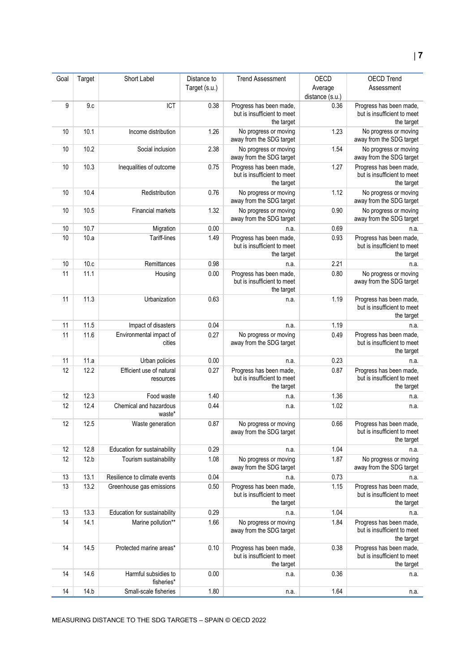| Goal              | Target | Short Label                           | Distance to   | <b>Trend Assessment</b>                                              | OECD            | <b>OECD Trend</b>                                                    |
|-------------------|--------|---------------------------------------|---------------|----------------------------------------------------------------------|-----------------|----------------------------------------------------------------------|
|                   |        |                                       | Target (s.u.) |                                                                      | Average         | Assessment                                                           |
|                   |        |                                       |               |                                                                      | distance (s.u.) |                                                                      |
| 9                 | 9.c    | ICT                                   | 0.38          | Progress has been made,<br>but is insufficient to meet<br>the target | 0.36            | Progress has been made,<br>but is insufficient to meet<br>the target |
| 10                | 10.1   | Income distribution                   | 1.26          | No progress or moving<br>away from the SDG target                    | 1.23            | No progress or moving<br>away from the SDG target                    |
| 10                | 10.2   | Social inclusion                      | 2.38          | No progress or moving<br>away from the SDG target                    | 1.54            | No progress or moving<br>away from the SDG target                    |
| 10                | 10.3   | Inequalities of outcome               | 0.75          | Progress has been made,<br>but is insufficient to meet<br>the target | 1.27            | Progress has been made,<br>but is insufficient to meet<br>the target |
| 10                | 10.4   | Redistribution                        | 0.76          | No progress or moving<br>away from the SDG target                    | 1.12            | No progress or moving<br>away from the SDG target                    |
| 10                | 10.5   | Financial markets                     | 1.32          | No progress or moving<br>away from the SDG target                    | 0.90            | No progress or moving<br>away from the SDG target                    |
| 10                | 10.7   | Migration                             | 0.00          | n.a.                                                                 | 0.69            | n.a.                                                                 |
| 10                | 10.a   | Tariff-lines                          | 1.49          | Progress has been made,<br>but is insufficient to meet<br>the target | 0.93            | Progress has been made,<br>but is insufficient to meet<br>the target |
| 10                | 10.c   | Remittances                           | 0.98          | n.a.                                                                 | 2.21            | n.a.                                                                 |
| 11                | 11.1   | Housing                               | 0.00          | Progress has been made,<br>but is insufficient to meet<br>the target | 0.80            | No progress or moving<br>away from the SDG target                    |
| 11                | 11.3   | Urbanization                          | 0.63          | n.a.                                                                 | 1.19            | Progress has been made,<br>but is insufficient to meet<br>the target |
| 11                | 11.5   | Impact of disasters                   | 0.04          | n.a.                                                                 | 1.19            | n.a.                                                                 |
| 11                | 11.6   | Environmental impact of<br>cities     | 0.27          | No progress or moving<br>away from the SDG target                    | 0.49            | Progress has been made,<br>but is insufficient to meet<br>the target |
| 11                | 11.a   | Urban policies                        | 0.00          | n.a.                                                                 | 0.23            | n.a.                                                                 |
| 12                | 12.2   | Efficient use of natural<br>resources | 0.27          | Progress has been made,<br>but is insufficient to meet<br>the target | 0.87            | Progress has been made,<br>but is insufficient to meet<br>the target |
| 12                | 12.3   | Food waste                            | 1.40          | n.a.                                                                 | 1.36            | n.a.                                                                 |
| 12                | 12.4   | Chemical and hazardous<br>waste*      | 0.44          | n.a.                                                                 | 1.02            | n.a.                                                                 |
| $12 \overline{ }$ | 12.5   | Waste generation                      | 0.87          | No progress or moving<br>away from the SDG target                    | 0.66            | Progress has been made,<br>but is insufficient to meet<br>the target |
| 12                | 12.8   | Education for sustainability          | 0.29          | n.a.                                                                 | 1.04            | n.a.                                                                 |
| 12                | 12.b   | Tourism sustainability                | 1.08          | No progress or moving<br>away from the SDG target                    | 1.87            | No progress or moving<br>away from the SDG target                    |
| 13                | 13.1   | Resilience to climate events          | 0.04          | n.a.                                                                 | 0.73            | n.a.                                                                 |
| 13                | 13.2   | Greenhouse gas emissions              | 0.50          | Progress has been made,<br>but is insufficient to meet<br>the target | 1.15            | Progress has been made,<br>but is insufficient to meet<br>the target |
| 13                | 13.3   | Education for sustainability          | 0.29          | n.a.                                                                 | 1.04            | n.a.                                                                 |
| 14                | 14.1   | Marine pollution**                    | 1.66          | No progress or moving<br>away from the SDG target                    | 1.84            | Progress has been made,<br>but is insufficient to meet<br>the target |
| 14                | 14.5   | Protected marine areas*               | 0.10          | Progress has been made,<br>but is insufficient to meet<br>the target | 0.38            | Progress has been made,<br>but is insufficient to meet<br>the target |
| 14                | 14.6   | Harmful subsidies to<br>fisheries*    | 0.00          | n.a.                                                                 | 0.36            | n.a.                                                                 |
| 14                | 14.b   | Small-scale fisheries                 | 1.80          | n.a.                                                                 | 1.64            | n.a.                                                                 |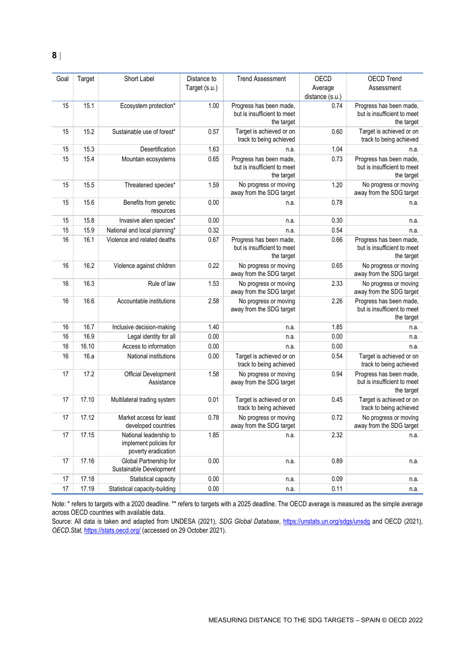| Goal | Target | Short Label                                                             | Distance to<br>Target (s.u.) | <b>Trend Assessment</b>                                              | OECD<br>Average<br>distance (s.u.) | <b>OECD Trend</b><br>Assessment                                      |
|------|--------|-------------------------------------------------------------------------|------------------------------|----------------------------------------------------------------------|------------------------------------|----------------------------------------------------------------------|
| 15   | 15.1   | Ecosystem protection*                                                   | 1.00                         | Progress has been made,<br>but is insufficient to meet<br>the target | 0.74                               | Progress has been made,<br>but is insufficient to meet<br>the target |
| 15   | 15.2   | Sustainable use of forest*                                              | 0.57                         | Target is achieved or on<br>track to being achieved                  | 0.60                               | Target is achieved or on<br>track to being achieved                  |
| 15   | 15.3   | Desertification                                                         | 1.63                         | n.a.                                                                 | 1.04                               | n.a.                                                                 |
| 15   | 15.4   | Mountain ecosystems                                                     | 0.65                         | Progress has been made,<br>but is insufficient to meet<br>the target | 0.73                               | Progress has been made,<br>but is insufficient to meet<br>the target |
| 15   | 15.5   | Threatened species*                                                     | 1.59                         | No progress or moving<br>away from the SDG target                    | 1.20                               | No progress or moving<br>away from the SDG target                    |
| 15   | 15.6   | Benefits from genetic<br>resources                                      | 0.00                         | n.a.                                                                 | 0.78                               | n.a.                                                                 |
| 15   | 15.8   | Invasive alien species*                                                 | 0.00                         | n.a.                                                                 | 0.30                               | n.a.                                                                 |
| 15   | 15.9   | National and local planning*                                            | 0.32                         | n.a.                                                                 | 0.54                               | n.a.                                                                 |
| 16   | 16.1   | Violence and related deaths                                             | 0.67                         | Progress has been made,<br>but is insufficient to meet<br>the target | 0.66                               | Progress has been made,<br>but is insufficient to meet<br>the target |
| 16   | 16.2   | Violence against children                                               | 0.22                         | No progress or moving<br>away from the SDG target                    | 0.65                               | No progress or moving<br>away from the SDG target                    |
| 16   | 16.3   | Rule of law                                                             | 1.53                         | No progress or moving<br>away from the SDG target                    | 2.33                               | No progress or moving<br>away from the SDG target                    |
| 16   | 16.6   | Accountable institutions                                                | 2.58                         | No progress or moving<br>away from the SDG target                    | 2.26                               | Progress has been made,<br>but is insufficient to meet<br>the target |
| 16   | 16.7   | Inclusive decision-making                                               | 1.40                         | n.a.                                                                 | 1.85                               | n.a.                                                                 |
| 16   | 16.9   | Legal identity for all                                                  | 0.00                         | n.a.                                                                 | 0.00                               | n.a.                                                                 |
| 16   | 16.10  | Access to information                                                   | 0.00                         | n.a.                                                                 | 0.00                               | n.a.                                                                 |
| 16   | 16.a   | National institutions                                                   | 0.00                         | Target is achieved or on<br>track to being achieved                  | 0.54                               | Target is achieved or on<br>track to being achieved                  |
| 17   | 17.2   | Official Development<br>Assistance                                      | 1.58                         | No progress or moving<br>away from the SDG target                    | 0.94                               | Progress has been made,<br>but is insufficient to meet<br>the target |
| 17   | 17.10  | Multilateral trading system                                             | 0.01                         | Target is achieved or on<br>track to being achieved                  | 0.45                               | Target is achieved or on<br>track to being achieved                  |
| 17   | 17.12  | Market access for least<br>developed countries                          | 0.78                         | No progress or moving<br>away from the SDG target                    | 0.72                               | No progress or moving<br>away from the SDG target                    |
| 17   | 17.15  | National leadership to<br>implement policies for<br>poverty eradication | 1.85                         | n.a.                                                                 | 2.32                               | n.a.                                                                 |
| 17   | 17.16  | Global Partnership for<br>Sustainable Development                       | 0.00                         | n.a.                                                                 | 0.89                               | n.a.                                                                 |
| 17   | 17.18  | Statistical capacity                                                    | 0.00                         | n.a.                                                                 | 0.09                               | n.a.                                                                 |
| 17   | 17.19  | Statistical capacity-building                                           | 0.00                         | n.a.                                                                 | 0.11                               | n.a.                                                                 |

Note: \* refers to targets with a 2020 deadline. \*\* refers to targets with a 2025 deadline. The OECD average is measured as the simple average across OECD countries with available data.

Source: All data is taken and adapted from UNDESA (2021), *SDG Global Database*,<https://unstats.un.org/sdgs/unsdg> and OECD (2021), *OECD.Stat,* <https://stats.oecd.org/> (accessed on 29 October 2021).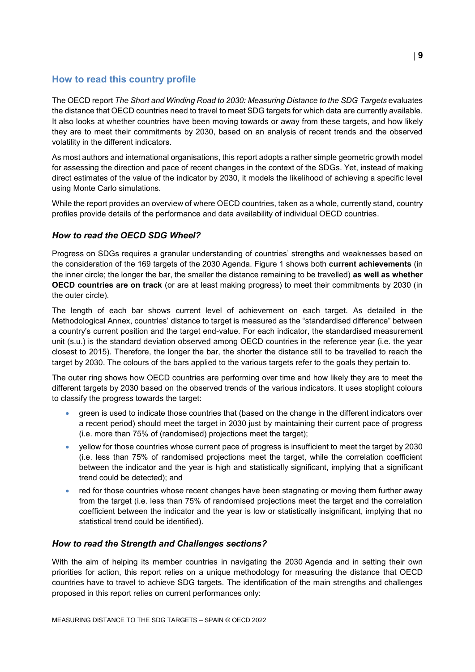## <span id="page-8-0"></span>**How to read this country profile**

The OECD report *The Short and Winding Road to 2030: Measuring Distance to the SDG Targets* evaluates the distance that OECD countries need to travel to meet SDG targets for which data are currently available. It also looks at whether countries have been moving towards or away from these targets, and how likely they are to meet their commitments by 2030, based on an analysis of recent trends and the observed volatility in the different indicators.

As most authors and international organisations, this report adopts a rather simple geometric growth model for assessing the direction and pace of recent changes in the context of the SDGs. Yet, instead of making direct estimates of the value of the indicator by 2030, it models the likelihood of achieving a specific level using Monte Carlo simulations.

While the report provides an overview of where OECD countries, taken as a whole, currently stand, country profiles provide details of the performance and data availability of individual OECD countries.

## *How to read the OECD SDG Wheel?*

Progress on SDGs requires a granular understanding of countries' strengths and weaknesses based on the consideration of the 169 targets of the 2030 Agenda. [Figure](#page-0-0) 1 shows both **current achievements** (in the inner circle; the longer the bar, the smaller the distance remaining to be travelled) **as well as whether OECD countries are on track** (or are at least making progress) to meet their commitments by 2030 (in the outer circle).

The length of each bar shows current level of achievement on each target. As detailed in the Methodological Annex, countries' distance to target is measured as the "standardised difference" between a country's current position and the target end-value. For each indicator, the standardised measurement unit (s.u.) is the standard deviation observed among OECD countries in the reference year (i.e. the year closest to 2015). Therefore, the longer the bar, the shorter the distance still to be travelled to reach the target by 2030. The colours of the bars applied to the various targets refer to the goals they pertain to.

The outer ring shows how OECD countries are performing over time and how likely they are to meet the different targets by 2030 based on the observed trends of the various indicators. It uses stoplight colours to classify the progress towards the target:

- green is used to indicate those countries that (based on the change in the different indicators over a recent period) should meet the target in 2030 just by maintaining their current pace of progress (i.e. more than 75% of (randomised) projections meet the target);
- yellow for those countries whose current pace of progress is insufficient to meet the target by 2030 (i.e. less than 75% of randomised projections meet the target, while the correlation coefficient between the indicator and the year is high and statistically significant, implying that a significant trend could be detected); and
- red for those countries whose recent changes have been stagnating or moving them further away from the target (i.e. less than 75% of randomised projections meet the target and the correlation coefficient between the indicator and the year is low or statistically insignificant, implying that no statistical trend could be identified).

## *How to read the Strength and Challenges sections?*

With the aim of helping its member countries in navigating the 2030 Agenda and in setting their own priorities for action, this report relies on a unique methodology for measuring the distance that OECD countries have to travel to achieve SDG targets. The identification of the main strengths and challenges proposed in this report relies on current performances only: